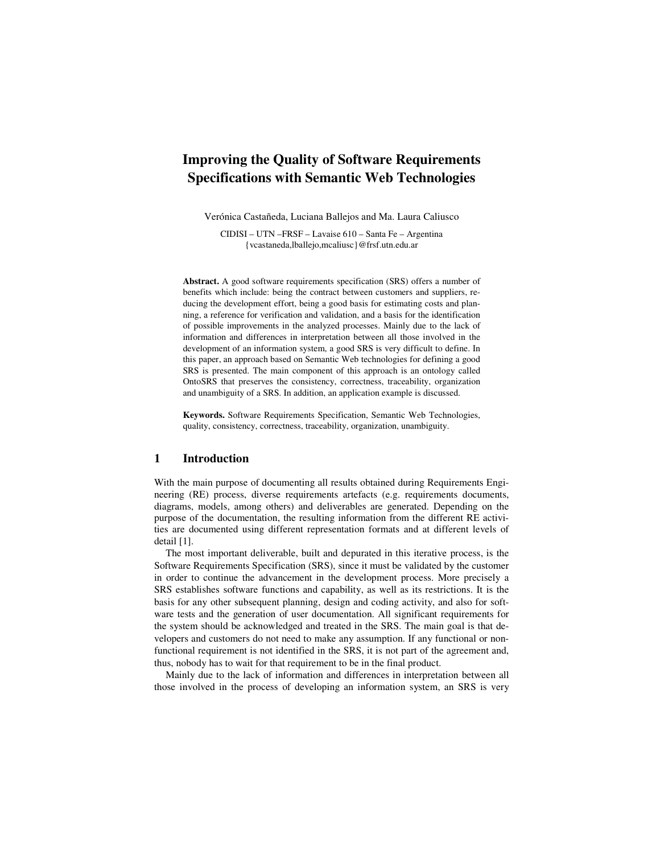# **Improving the Quality of Software Requirements Specifications with Semantic Web Technologies**

Verónica Castañeda, Luciana Ballejos and Ma. Laura Caliusco

CIDISI – UTN –FRSF – Lavaise 610 – Santa Fe – Argentina {vcastaneda,lballejo,mcaliusc}@frsf.utn.edu.ar

**Abstract.** A good software requirements specification (SRS) offers a number of benefits which include: being the contract between customers and suppliers, reducing the development effort, being a good basis for estimating costs and planning, a reference for verification and validation, and a basis for the identification of possible improvements in the analyzed processes. Mainly due to the lack of information and differences in interpretation between all those involved in the development of an information system, a good SRS is very difficult to define. In this paper, an approach based on Semantic Web technologies for defining a good SRS is presented. The main component of this approach is an ontology called OntoSRS that preserves the consistency, correctness, traceability, organization and unambiguity of a SRS. In addition, an application example is discussed.

**Keywords.** Software Requirements Specification, Semantic Web Technologies, quality, consistency, correctness, traceability, organization, unambiguity.

# **1 Introduction**

With the main purpose of documenting all results obtained during Requirements Engineering (RE) process, diverse requirements artefacts (e.g. requirements documents, diagrams, models, among others) and deliverables are generated. Depending on the purpose of the documentation, the resulting information from the different RE activities are documented using different representation formats and at different levels of detail [1].

The most important deliverable, built and depurated in this iterative process, is the Software Requirements Specification (SRS), since it must be validated by the customer in order to continue the advancement in the development process. More precisely a SRS establishes software functions and capability, as well as its restrictions. It is the basis for any other subsequent planning, design and coding activity, and also for software tests and the generation of user documentation. All significant requirements for the system should be acknowledged and treated in the SRS. The main goal is that developers and customers do not need to make any assumption. If any functional or nonfunctional requirement is not identified in the SRS, it is not part of the agreement and, thus, nobody has to wait for that requirement to be in the final product.

Mainly due to the lack of information and differences in interpretation between all those involved in the process of developing an information system, an SRS is very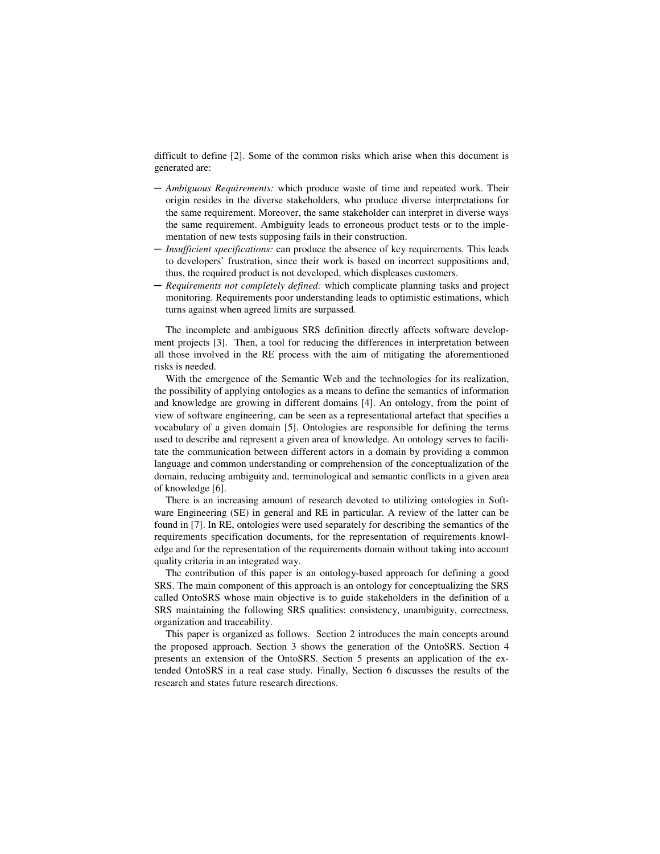difficult to define [2]. Some of the common risks which arise when this document is generated are:

- ─ *Ambiguous Requirements:* which produce waste of time and repeated work. Their origin resides in the diverse stakeholders, who produce diverse interpretations for the same requirement. Moreover, the same stakeholder can interpret in diverse ways the same requirement. Ambiguity leads to erroneous product tests or to the implementation of new tests supposing fails in their construction.
- ─ *Insufficient specifications:* can produce the absence of key requirements. This leads to developers' frustration, since their work is based on incorrect suppositions and, thus, the required product is not developed, which displeases customers.
- ─ *Requirements not completely defined:* which complicate planning tasks and project monitoring. Requirements poor understanding leads to optimistic estimations, which turns against when agreed limits are surpassed.

The incomplete and ambiguous SRS definition directly affects software development projects [3]. Then, a tool for reducing the differences in interpretation between all those involved in the RE process with the aim of mitigating the aforementioned risks is needed.

With the emergence of the Semantic Web and the technologies for its realization, the possibility of applying ontologies as a means to define the semantics of information and knowledge are growing in different domains [4]. An ontology, from the point of view of software engineering, can be seen as a representational artefact that specifies a vocabulary of a given domain [5]. Ontologies are responsible for defining the terms used to describe and represent a given area of knowledge. An ontology serves to facilitate the communication between different actors in a domain by providing a common language and common understanding or comprehension of the conceptualization of the domain, reducing ambiguity and, terminological and semantic conflicts in a given area of knowledge [6].

There is an increasing amount of research devoted to utilizing ontologies in Software Engineering (SE) in general and RE in particular. A review of the latter can be found in [7]. In RE, ontologies were used separately for describing the semantics of the requirements specification documents, for the representation of requirements knowledge and for the representation of the requirements domain without taking into account quality criteria in an integrated way.

The contribution of this paper is an ontology-based approach for defining a good SRS. The main component of this approach is an ontology for conceptualizing the SRS called OntoSRS whose main objective is to guide stakeholders in the definition of a SRS maintaining the following SRS qualities: consistency, unambiguity, correctness, organization and traceability.

This paper is organized as follows. Section 2 introduces the main concepts around the proposed approach. Section 3 shows the generation of the OntoSRS. Section 4 presents an extension of the OntoSRS. Section 5 presents an application of the extended OntoSRS in a real case study. Finally, Section 6 discusses the results of the research and states future research directions.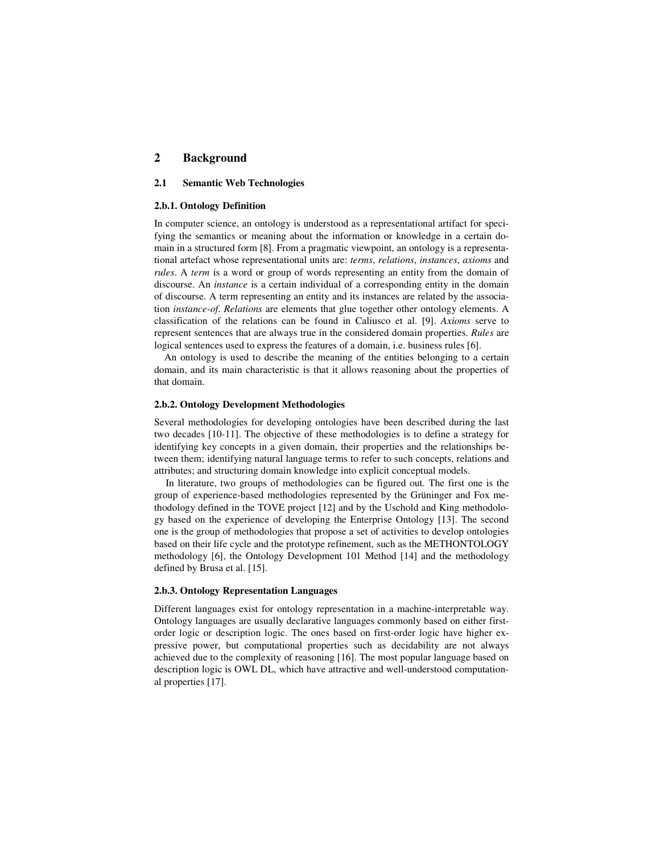# **2 Background**

# **2.1 Semantic Web Technologies**

#### **2.b.1. Ontology Definition**

In computer science, an ontology is understood as a representational artifact for specifying the semantics or meaning about the information or knowledge in a certain domain in a structured form [8]. From a pragmatic viewpoint, an ontology is a representational artefact whose representational units are: *terms*, *relations*, *instances*, *axioms* and *rules*. A *term* is a word or group of words representing an entity from the domain of discourse. An *instance* is a certain individual of a corresponding entity in the domain of discourse. A term representing an entity and its instances are related by the association *instance-of*. *Relations* are elements that glue together other ontology elements. A classification of the relations can be found in Caliusco et al. [9]. *Axioms* serve to represent sentences that are always true in the considered domain properties. *Rules* are logical sentences used to express the features of a domain, i.e. business rules [6].

An ontology is used to describe the meaning of the entities belonging to a certain domain, and its main characteristic is that it allows reasoning about the properties of that domain.

# **2.b.2. Ontology Development Methodologies**

Several methodologies for developing ontologies have been described during the last two decades [10-11]. The objective of these methodologies is to define a strategy for identifying key concepts in a given domain, their properties and the relationships between them; identifying natural language terms to refer to such concepts, relations and attributes; and structuring domain knowledge into explicit conceptual models.

In literature, two groups of methodologies can be figured out. The first one is the group of experience-based methodologies represented by the Grüninger and Fox methodology defined in the TOVE project [12] and by the Uschold and King methodology based on the experience of developing the Enterprise Ontology [13]. The second one is the group of methodologies that propose a set of activities to develop ontologies based on their life cycle and the prototype refinement, such as the METHONTOLOGY methodology [6], the Ontology Development 101 Method [14] and the methodology defined by Brusa et al. [15].

# **2.b.3. Ontology Representation Languages**

Different languages exist for ontology representation in a machine-interpretable way. Ontology languages are usually declarative languages commonly based on either firstorder logic or description logic. The ones based on first-order logic have higher expressive power, but computational properties such as decidability are not always achieved due to the complexity of reasoning [16]. The most popular language based on description logic is OWL DL, which have attractive and well-understood computational properties [17].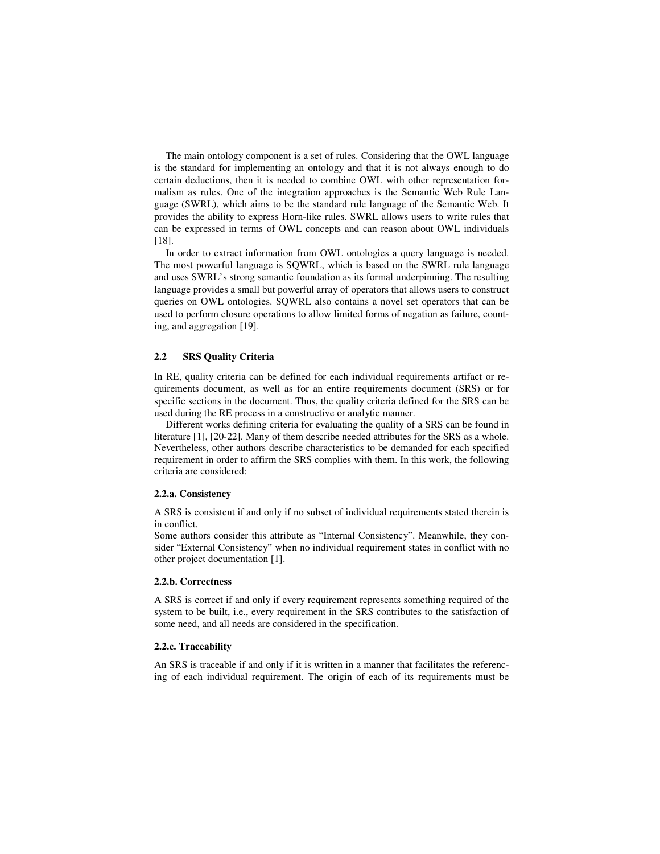The main ontology component is a set of rules. Considering that the OWL language is the standard for implementing an ontology and that it is not always enough to do certain deductions, then it is needed to combine OWL with other representation formalism as rules. One of the integration approaches is the Semantic Web Rule Language (SWRL), which aims to be the standard rule language of the Semantic Web. It provides the ability to express Horn-like rules. SWRL allows users to write rules that can be expressed in terms of OWL concepts and can reason about OWL individuals [18].

In order to extract information from OWL ontologies a query language is needed. The most powerful language is SQWRL, which is based on the SWRL rule language and uses SWRL's strong semantic foundation as its formal underpinning. The resulting language provides a small but powerful array of operators that allows users to construct queries on OWL ontologies. SQWRL also contains a novel set operators that can be used to perform closure operations to allow limited forms of negation as failure, counting, and aggregation [19].

# **2.2 SRS Quality Criteria**

In RE, quality criteria can be defined for each individual requirements artifact or requirements document, as well as for an entire requirements document (SRS) or for specific sections in the document. Thus, the quality criteria defined for the SRS can be used during the RE process in a constructive or analytic manner.

Different works defining criteria for evaluating the quality of a SRS can be found in literature [1], [20-22]. Many of them describe needed attributes for the SRS as a whole. Nevertheless, other authors describe characteristics to be demanded for each specified requirement in order to affirm the SRS complies with them. In this work, the following criteria are considered:

#### **2.2.a. Consistency**

A SRS is consistent if and only if no subset of individual requirements stated therein is in conflict.

Some authors consider this attribute as "Internal Consistency". Meanwhile, they consider "External Consistency" when no individual requirement states in conflict with no other project documentation [1].

# **2.2.b. Correctness**

A SRS is correct if and only if every requirement represents something required of the system to be built, i.e., every requirement in the SRS contributes to the satisfaction of some need, and all needs are considered in the specification.

# **2.2.c. Traceability**

An SRS is traceable if and only if it is written in a manner that facilitates the referencing of each individual requirement. The origin of each of its requirements must be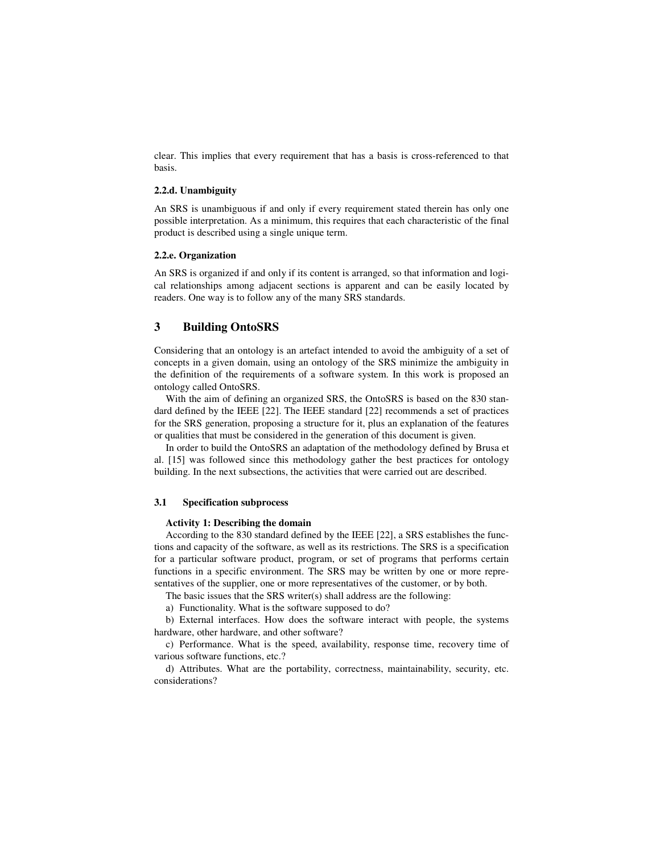clear. This implies that every requirement that has a basis is cross-referenced to that basis.

### **2.2.d. Unambiguity**

An SRS is unambiguous if and only if every requirement stated therein has only one possible interpretation. As a minimum, this requires that each characteristic of the final product is described using a single unique term.

#### **2.2.e. Organization**

An SRS is organized if and only if its content is arranged, so that information and logical relationships among adjacent sections is apparent and can be easily located by readers. One way is to follow any of the many SRS standards.

# **3 Building OntoSRS**

Considering that an ontology is an artefact intended to avoid the ambiguity of a set of concepts in a given domain, using an ontology of the SRS minimize the ambiguity in the definition of the requirements of a software system. In this work is proposed an ontology called OntoSRS.

With the aim of defining an organized SRS, the OntoSRS is based on the 830 standard defined by the IEEE [22]. The IEEE standard [22] recommends a set of practices for the SRS generation, proposing a structure for it, plus an explanation of the features or qualities that must be considered in the generation of this document is given.

In order to build the OntoSRS an adaptation of the methodology defined by Brusa et al. [15] was followed since this methodology gather the best practices for ontology building. In the next subsections, the activities that were carried out are described.

# **3.1 Specification subprocess**

#### **Activity 1: Describing the domain**

According to the 830 standard defined by the IEEE [22], a SRS establishes the functions and capacity of the software, as well as its restrictions. The SRS is a specification for a particular software product, program, or set of programs that performs certain functions in a specific environment. The SRS may be written by one or more representatives of the supplier, one or more representatives of the customer, or by both.

The basic issues that the SRS writer(s) shall address are the following:

a) Functionality. What is the software supposed to do?

b) External interfaces. How does the software interact with people, the systems hardware, other hardware, and other software?

c) Performance. What is the speed, availability, response time, recovery time of various software functions, etc.?

d) Attributes. What are the portability, correctness, maintainability, security, etc. considerations?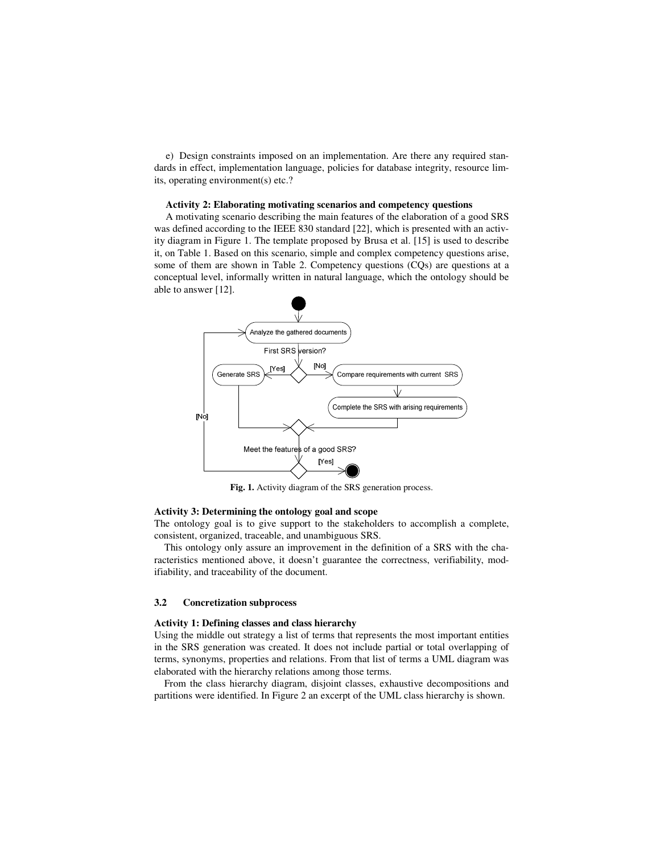e) Design constraints imposed on an implementation. Are there any required standards in effect, implementation language, policies for database integrity, resource limits, operating environment(s) etc.?

#### **Activity 2: Elaborating motivating scenarios and competency questions**

A motivating scenario describing the main features of the elaboration of a good SRS was defined according to the IEEE 830 standard [22], which is presented with an activity diagram in Figure 1. The template proposed by Brusa et al. [15] is used to describe it, on Table 1. Based on this scenario, simple and complex competency questions arise, some of them are shown in Table 2. Competency questions (CQs) are questions at a conceptual level, informally written in natural language, which the ontology should be able to answer [12].



**Fig. 1.** Activity diagram of the SRS generation process.

#### **Activity 3: Determining the ontology goal and scope**

The ontology goal is to give support to the stakeholders to accomplish a complete, consistent, organized, traceable, and unambiguous SRS.

This ontology only assure an improvement in the definition of a SRS with the characteristics mentioned above, it doesn't guarantee the correctness, verifiability, modifiability, and traceability of the document.

#### **3.2 Concretization subprocess**

### **Activity 1: Defining classes and class hierarchy**

Using the middle out strategy a list of terms that represents the most important entities in the SRS generation was created. It does not include partial or total overlapping of terms, synonyms, properties and relations. From that list of terms a UML diagram was elaborated with the hierarchy relations among those terms.

From the class hierarchy diagram, disjoint classes, exhaustive decompositions and partitions were identified. In Figure 2 an excerpt of the UML class hierarchy is shown.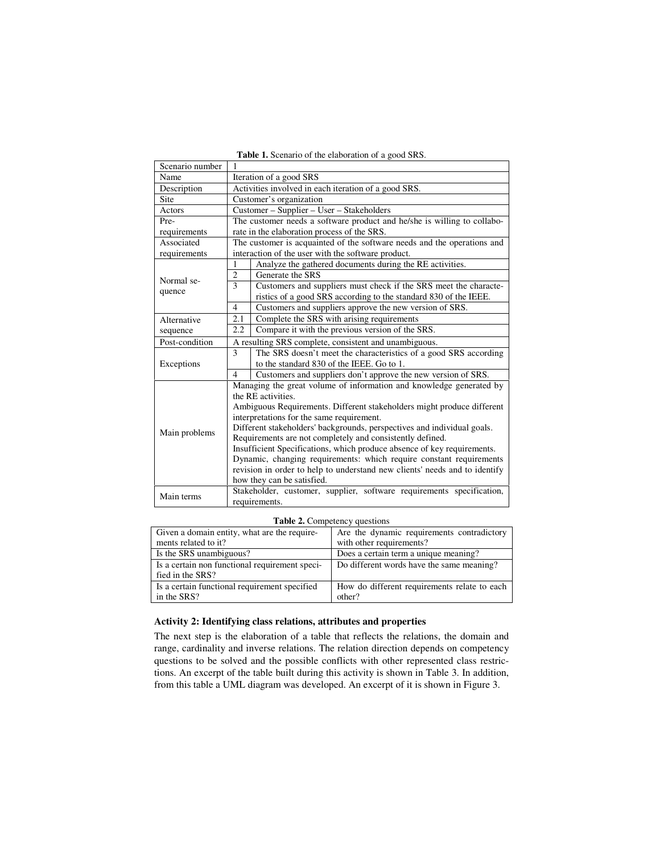| <b>Table 1.</b> Scenario of the elaboration of a good SRS. |  |
|------------------------------------------------------------|--|
|------------------------------------------------------------|--|

| Scenario number | 1                                                                          |                                                                       |  |  |
|-----------------|----------------------------------------------------------------------------|-----------------------------------------------------------------------|--|--|
| Name            | Iteration of a good SRS                                                    |                                                                       |  |  |
| Description     | Activities involved in each iteration of a good SRS.                       |                                                                       |  |  |
| Site            | Customer's organization                                                    |                                                                       |  |  |
| Actors          | Customer - Supplier - User - Stakeholders                                  |                                                                       |  |  |
| Pre-            | The customer needs a software product and he/she is willing to collabo-    |                                                                       |  |  |
| requirements    | rate in the elaboration process of the SRS.                                |                                                                       |  |  |
| Associated      | The customer is acquainted of the software needs and the operations and    |                                                                       |  |  |
| requirements    | interaction of the user with the software product.                         |                                                                       |  |  |
|                 | $\mathbf{1}$                                                               | Analyze the gathered documents during the RE activities.              |  |  |
| Normal se-      | $\overline{2}$                                                             | Generate the SRS                                                      |  |  |
|                 | 3                                                                          | Customers and suppliers must check if the SRS meet the characte-      |  |  |
| quence          |                                                                            | ristics of a good SRS according to the standard 830 of the IEEE.      |  |  |
|                 | $\overline{4}$                                                             | Customers and suppliers approve the new version of SRS.               |  |  |
| Alternative     | 2.1                                                                        | Complete the SRS with arising requirements                            |  |  |
| sequence        | 2.2                                                                        | Compare it with the previous version of the SRS.                      |  |  |
| Post-condition  | A resulting SRS complete, consistent and unambiguous.                      |                                                                       |  |  |
| Exceptions      | 3                                                                          | The SRS doesn't meet the characteristics of a good SRS according      |  |  |
|                 |                                                                            | to the standard 830 of the IEEE. Go to 1.                             |  |  |
|                 | $\overline{4}$                                                             | Customers and suppliers don't approve the new version of SRS.         |  |  |
|                 |                                                                            | Managing the great volume of information and knowledge generated by   |  |  |
|                 | the RE activities.                                                         |                                                                       |  |  |
| Main problems   | Ambiguous Requirements. Different stakeholders might produce different     |                                                                       |  |  |
|                 | interpretations for the same requirement.                                  |                                                                       |  |  |
|                 | Different stakeholders' backgrounds, perspectives and individual goals.    |                                                                       |  |  |
|                 | Requirements are not completely and consistently defined.                  |                                                                       |  |  |
|                 | Insufficient Specifications, which produce absence of key requirements.    |                                                                       |  |  |
|                 | Dynamic, changing requirements: which require constant requirements        |                                                                       |  |  |
|                 | revision in order to help to understand new clients' needs and to identify |                                                                       |  |  |
|                 |                                                                            | how they can be satisfied.                                            |  |  |
| Main terms      |                                                                            | Stakeholder, customer, supplier, software requirements specification, |  |  |
|                 | requirements.                                                              |                                                                       |  |  |

**Table 2.** Competency questions

| Given a domain entity, what are the require-   | Are the dynamic requirements contradictory   |
|------------------------------------------------|----------------------------------------------|
| ments related to it?                           | with other requirements?                     |
| Is the SRS unambiguous?                        | Does a certain term a unique meaning?        |
| Is a certain non functional requirement speci- | Do different words have the same meaning?    |
| fied in the SRS?                               |                                              |
| Is a certain functional requirement specified  | How do different requirements relate to each |
| in the SRS?                                    | other?                                       |

# **Activity 2: Identifying class relations, attributes and properties**

The next step is the elaboration of a table that reflects the relations, the domain and range, cardinality and inverse relations. The relation direction depends on competency questions to be solved and the possible conflicts with other represented class restrictions. An excerpt of the table built during this activity is shown in Table 3. In addition, from this table a UML diagram was developed. An excerpt of it is shown in Figure 3.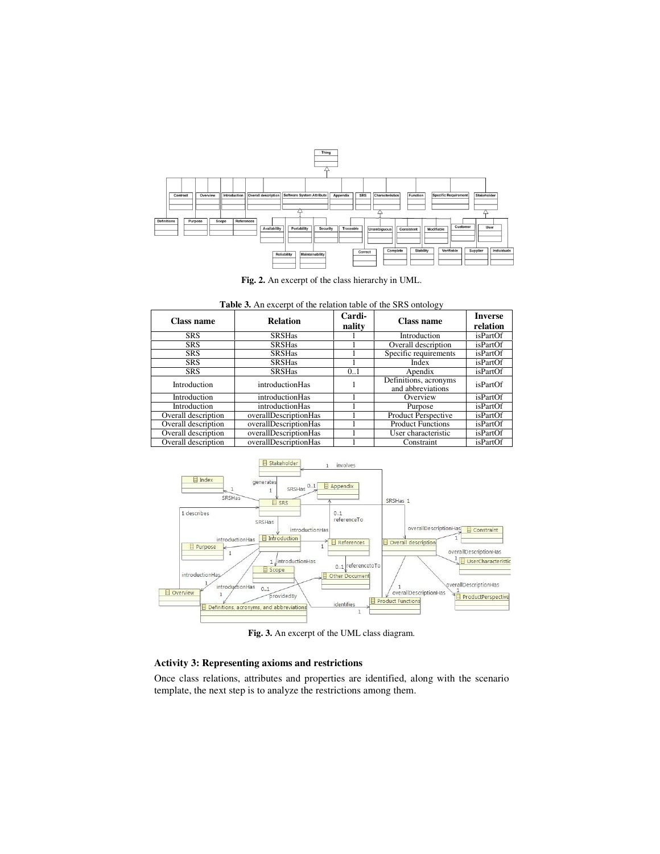

**Fig. 2.** An excerpt of the class hierarchy in UML.

**Table 3.** An excerpt of the relation table of the SRS ontology

| Class name          | <b>Relation</b>       | Cardi-<br>nality | Class name                                 | <b>Inverse</b><br>relation |
|---------------------|-----------------------|------------------|--------------------------------------------|----------------------------|
| <b>SRS</b>          | <b>SRSHas</b>         |                  | Introduction                               | isPartOf                   |
| <b>SRS</b>          | <b>SRSHas</b>         |                  | Overall description                        | isPartOf                   |
| <b>SRS</b>          | <b>SRSHas</b>         |                  | Specific requirements                      | isPartOf                   |
| <b>SRS</b>          | <b>SRSHas</b>         |                  | Index                                      | <i>isPartOf</i>            |
| <b>SRS</b>          | <b>SRSHas</b>         | 0.1              | Apendix                                    | <i>isPartOf</i>            |
| Introduction        | introductionHas       |                  | Definitions, acronyms<br>and abbreviations | isPartOf                   |
| Introduction        | introductionHas       |                  | Overview                                   | isPartOf                   |
| Introduction        | introductionHas       |                  | Purpose                                    | isPartOf                   |
| Overall description | overallDescriptionHas |                  | Product Perspective                        | isPartOf                   |
| Overall description | overallDescriptionHas |                  | <b>Product Functions</b>                   | isPartOf                   |
| Overall description | overallDescriptionHas |                  | User characteristic                        | isPartOf                   |
| Overall description | overallDescriptionHas |                  | Constraint                                 | isPartOf                   |



**Fig. 3.** An excerpt of the UML class diagram.

# **Activity 3: Representing axioms and restrictions**

Once class relations, attributes and properties are identified, along with the scenario template, the next step is to analyze the restrictions among them.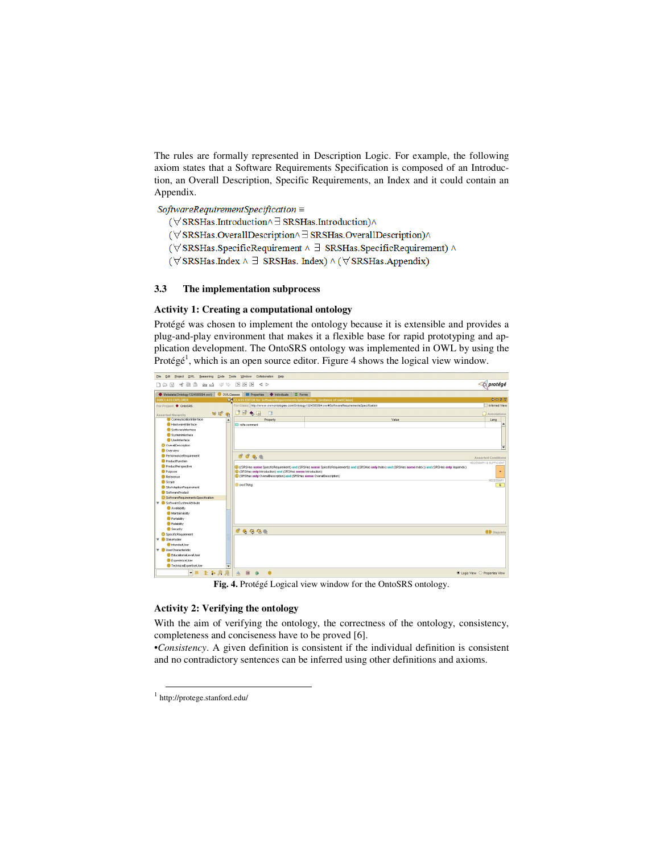The rules are formally represented in Description Logic. For example, the following axiom states that a Software Requirements Specification is composed of an Introduction, an Overall Description, Specific Requirements, an Index and it could contain an Appendix.

 $SoftwareRequired$  rementSpecification =

- (∀SRSHas.Introduction∧∃SRSHas.Introduction)∧
- (∀SRSHas.OverallDescription^∃SRSHas.OverallDescription)^
- (∀SRSHas.SpecificRequirement ^ ∃ SRSHas.SpecificRequirement) ^
- $(\forall \, \text{SRSHas}.\text{Index} \land \exists \, \, \text{SRSHas}.\,\text{Index}) \land (\forall \, \text{SRSHas}.\text{Appendix})$

## **3.3 The implementation subprocess**

#### **Activity 1: Creating a computational ontology**

Protégé was chosen to implement the ontology because it is extensible and provides a plug-and-play environment that makes it a flexible base for rapid prototyping and application development. The OntoSRS ontology was implemented in OWL by using the Protégé<sup>1</sup>, which is an open source editor. Figure 4 shows the logical view window.



**Fig. 4.** Protégé Logical view window for the OntoSRS ontology.

### **Activity 2: Verifying the ontology**

With the aim of verifying the ontology, the correctness of the ontology, consistency, completeness and conciseness have to be proved [6].

•*Consistency*. A given definition is consistent if the individual definition is consistent and no contradictory sentences can be inferred using other definitions and axioms.

 $\overline{a}$ 

<sup>1</sup> http://protege.stanford.edu/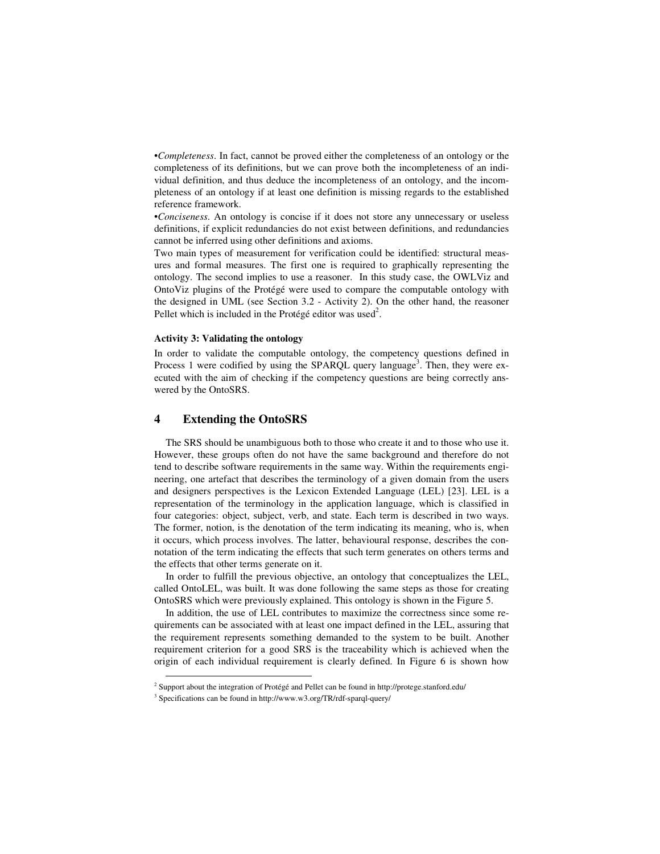•*Completeness*. In fact, cannot be proved either the completeness of an ontology or the completeness of its definitions, but we can prove both the incompleteness of an individual definition, and thus deduce the incompleteness of an ontology, and the incompleteness of an ontology if at least one definition is missing regards to the established reference framework.

•*Conciseness*. An ontology is concise if it does not store any unnecessary or useless definitions, if explicit redundancies do not exist between definitions, and redundancies cannot be inferred using other definitions and axioms.

Two main types of measurement for verification could be identified: structural measures and formal measures. The first one is required to graphically representing the ontology. The second implies to use a reasoner. In this study case, the OWLViz and OntoViz plugins of the Protégé were used to compare the computable ontology with the designed in UML (see Section 3.2 - Activity 2). On the other hand, the reasoner Pellet which is included in the Protégé editor was used<sup>2</sup>.

# **Activity 3: Validating the ontology**

In order to validate the computable ontology, the competency questions defined in Process 1 were codified by using the SPARQL query language<sup>3</sup>. Then, they were executed with the aim of checking if the competency questions are being correctly answered by the OntoSRS.

# **4 Extending the OntoSRS**

The SRS should be unambiguous both to those who create it and to those who use it. However, these groups often do not have the same background and therefore do not tend to describe software requirements in the same way. Within the requirements engineering, one artefact that describes the terminology of a given domain from the users and designers perspectives is the Lexicon Extended Language (LEL) [23]. LEL is a representation of the terminology in the application language, which is classified in four categories: object, subject, verb, and state. Each term is described in two ways. The former, notion, is the denotation of the term indicating its meaning, who is, when it occurs, which process involves. The latter, behavioural response, describes the connotation of the term indicating the effects that such term generates on others terms and the effects that other terms generate on it.

In order to fulfill the previous objective, an ontology that conceptualizes the LEL, called OntoLEL, was built. It was done following the same steps as those for creating OntoSRS which were previously explained. This ontology is shown in the Figure 5.

In addition, the use of LEL contributes to maximize the correctness since some requirements can be associated with at least one impact defined in the LEL, assuring that the requirement represents something demanded to the system to be built. Another requirement criterion for a good SRS is the traceability which is achieved when the origin of each individual requirement is clearly defined. In Figure 6 is shown how

 $\overline{\phantom{0}}$ 

<sup>&</sup>lt;sup>2</sup> Support about the integration of Protégé and Pellet can be found in http://protege.stanford.edu/

<sup>3</sup> Specifications can be found in http://www.w3.org/TR/rdf-sparql-query/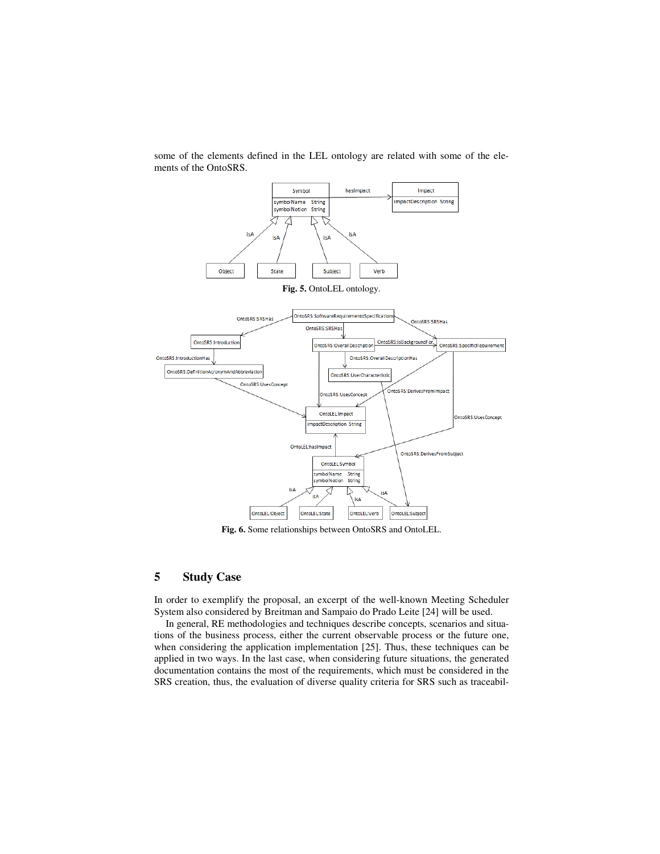

some of the elements defined in the LEL ontology are related with some of the elements of the OntoSRS.

**Fig. 6.** Some relationships between OntoSRS and OntoLEL.

# **5 Study Case**

In order to exemplify the proposal, an excerpt of the well-known Meeting Scheduler System also considered by Breitman and Sampaio do Prado Leite [24] will be used.

In general, RE methodologies and techniques describe concepts, scenarios and situations of the business process, either the current observable process or the future one, when considering the application implementation [25]. Thus, these techniques can be applied in two ways. In the last case, when considering future situations, the generated documentation contains the most of the requirements, which must be considered in the SRS creation, thus, the evaluation of diverse quality criteria for SRS such as traceabil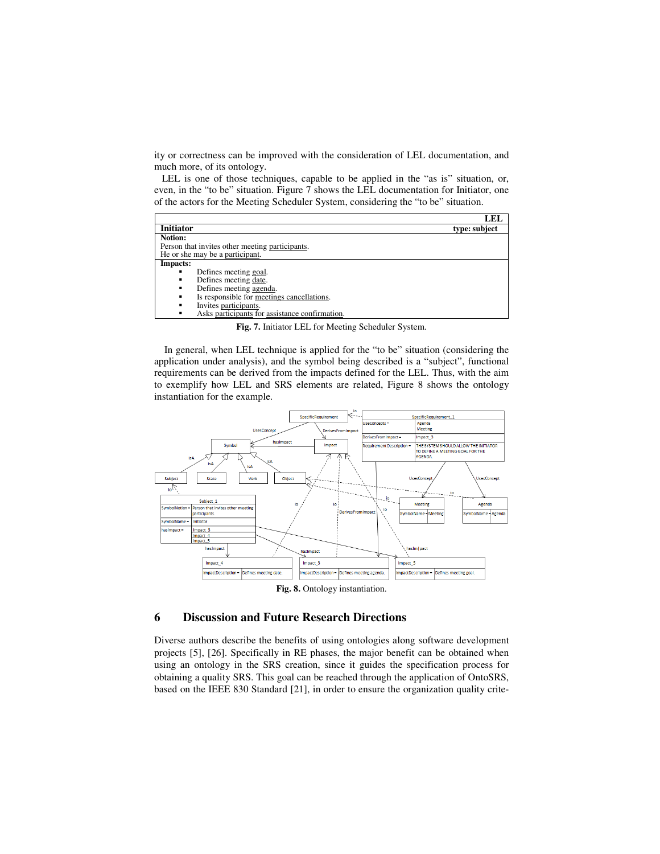ity or correctness can be improved with the consideration of LEL documentation, and much more, of its ontology.

 LEL is one of those techniques, capable to be applied in the "as is" situation, or, even, in the "to be" situation. Figure 7 shows the LEL documentation for Initiator, one of the actors for the Meeting Scheduler System, considering the "to be" situation.

|                                                 | LEL           |
|-------------------------------------------------|---------------|
| <b>Initiator</b>                                | type: subject |
| Notion:                                         |               |
| Person that invites other meeting participants. |               |
| He or she may be a participant.                 |               |
| Impacts:                                        |               |
| Defines meeting goal.                           |               |
| Defines meeting date.                           |               |
| Defines meeting agenda.<br>٠                    |               |
| Is responsible for meetings cancellations.<br>٠ |               |
| Invites participants.<br>٠                      |               |
| Asks participants for assistance confirmation.  |               |

**Fig. 7.** Initiator LEL for Meeting Scheduler System.

In general, when LEL technique is applied for the "to be" situation (considering the application under analysis), and the symbol being described is a "subject", functional requirements can be derived from the impacts defined for the LEL. Thus, with the aim to exemplify how LEL and SRS elements are related, Figure 8 shows the ontology instantiation for the example.



**Fig. 8.** Ontology instantiation.

# **6 Discussion and Future Research Directions**

Diverse authors describe the benefits of using ontologies along software development projects [5], [26]. Specifically in RE phases, the major benefit can be obtained when using an ontology in the SRS creation, since it guides the specification process for obtaining a quality SRS. This goal can be reached through the application of OntoSRS, based on the IEEE 830 Standard [21], in order to ensure the organization quality crite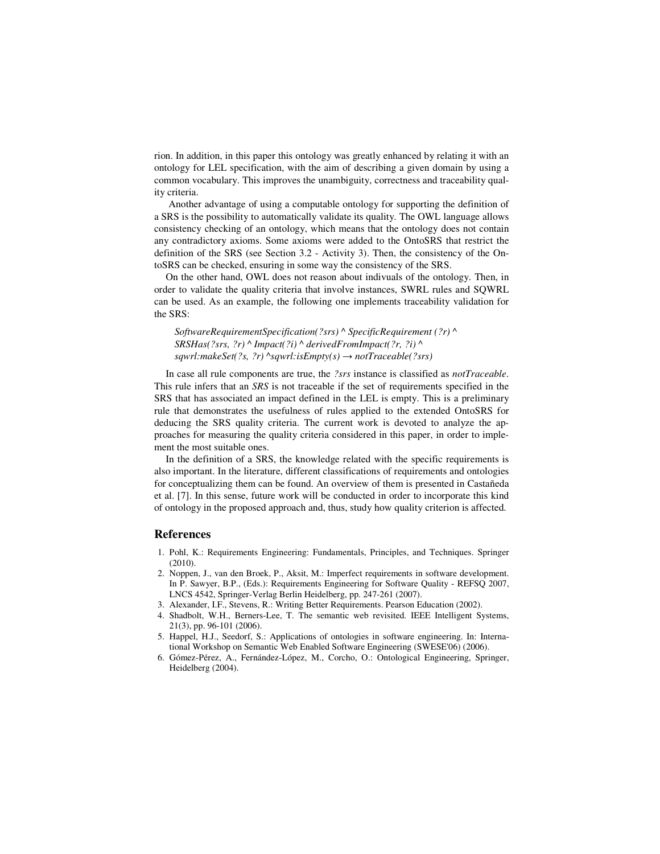rion. In addition, in this paper this ontology was greatly enhanced by relating it with an ontology for LEL specification, with the aim of describing a given domain by using a common vocabulary. This improves the unambiguity, correctness and traceability quality criteria.

Another advantage of using a computable ontology for supporting the definition of a SRS is the possibility to automatically validate its quality. The OWL language allows consistency checking of an ontology, which means that the ontology does not contain any contradictory axioms. Some axioms were added to the OntoSRS that restrict the definition of the SRS (see Section 3.2 - Activity 3). Then, the consistency of the OntoSRS can be checked, ensuring in some way the consistency of the SRS.

On the other hand, OWL does not reason about indivuals of the ontology. Then, in order to validate the quality criteria that involve instances, SWRL rules and SQWRL can be used. As an example, the following one implements traceability validation for the SRS:

*SoftwareRequirementSpecification(?srs) ^ SpecificRequirement (?r) ^ SRSHas(?srs, ?r) ^ Impact(?i) ^ derivedFromImpact(?r, ?i) ^ sqwrl:makeSet(?s, ?r) ^sqwrl:isEmpty(s)* → *notTraceable(?srs)* 

In case all rule components are true, the *?srs* instance is classified as *notTraceable*. This rule infers that an *SRS* is not traceable if the set of requirements specified in the SRS that has associated an impact defined in the LEL is empty. This is a preliminary rule that demonstrates the usefulness of rules applied to the extended OntoSRS for deducing the SRS quality criteria. The current work is devoted to analyze the approaches for measuring the quality criteria considered in this paper, in order to implement the most suitable ones.

In the definition of a SRS, the knowledge related with the specific requirements is also important. In the literature, different classifications of requirements and ontologies for conceptualizing them can be found. An overview of them is presented in Castañeda et al. [7]. In this sense, future work will be conducted in order to incorporate this kind of ontology in the proposed approach and, thus, study how quality criterion is affected.

#### **References**

- 1. Pohl, K.: Requirements Engineering: Fundamentals, Principles, and Techniques. Springer (2010).
- 2. Noppen, J., van den Broek, P., Aksit, M.: Imperfect requirements in software development. In P. Sawyer, B.P., (Eds.): Requirements Engineering for Software Quality - REFSQ 2007, LNCS 4542, Springer-Verlag Berlin Heidelberg, pp. 247-261 (2007).
- 3. Alexander, I.F., Stevens, R.: Writing Better Requirements. Pearson Education (2002).
- 4. Shadbolt, W.H., Berners-Lee, T. The semantic web revisited. IEEE Intelligent Systems, 21(3), pp. 96-101 (2006).
- 5. Happel, H.J., Seedorf, S.: Applications of ontologies in software engineering. In: International Workshop on Semantic Web Enabled Software Engineering (SWESE'06) (2006).
- 6. Gómez-Pérez, A., Fernández-López, M., Corcho, O.: Ontological Engineering, Springer, Heidelberg (2004).